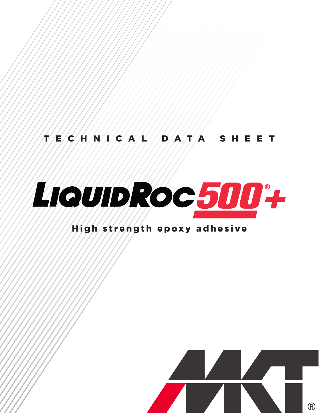# $T/E/C/H/N/C/A/L/MD/A/T/A$  SHEET



# High strength epoxy adhesive

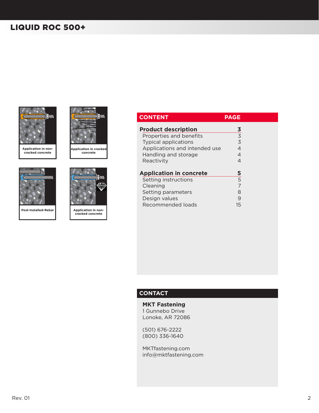

**Application in non-cracked concrete**



**Post-Installed-Rebar**



**Application in cracked concrete**



**Application in non-cracked concrete**

| <b>CONTENT</b>                 | <b>PAGE</b> |
|--------------------------------|-------------|
| <b>Product description</b>     | 3           |
| Properties and benefits        | 3           |
| <b>Typical applications</b>    | 3           |
| Applications and intended use  | 4           |
| Handling and storage           | 4           |
| Reactivity                     | 4           |
| <b>Application in concrete</b> | 5           |
| Setting instructions           | 5           |
| Cleaning                       | 7           |
| Setting parameters             | 8           |
| Design values                  | 9           |
| Recommended loads              | 15          |

### **CONTACT**

**MKT Fastening** 1 Gunnebo Drive Lonoke, AR 72086

(501) 676-2222 (800) 336-1640

MKTfastening.com info@mktfastening.com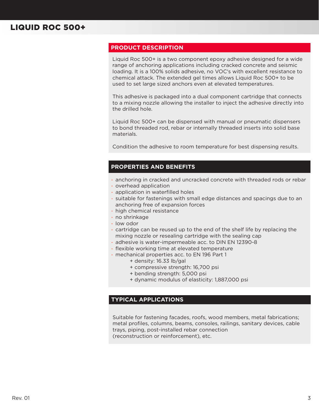#### **PRODUCT DESCRIPTION**

Liquid Roc 500+ is a two component epoxy adhesive designed for a wide range of anchoring applications including cracked concrete and seismic loading. It is a 100% solids adhesive, no VOC's with excellent resistance to chemical attack. The extended gel times allows Liquid Roc 500+ to be used to set large sized anchors even at elevated temperatures.

This adhesive is packaged into a dual component cartridge that connects to a mixing nozzle allowing the installer to inject the adhesive directly into the drilled hole.

Liquid Roc 500+ can be dispensed with manual or pneumatic dispensers to bond threaded rod, rebar or internally threaded inserts into solid base materials.

Condition the adhesive to room temperature for best dispensing results.

#### **PROPERTIES AND BENEFITS**

- anchoring in cracked and uncracked concrete with threaded rods or rebar
- overhead application
- application in waterfilled holes
- suitable for fastenings with small edge distances and spacings due to an anchoring free of expansion forces
- high chemical resistance
- no shrinkage
- low odor
- cartridge can be reused up to the end of the shelf life by replacing the mixing nozzle or resealing cartridge with the sealing cap
- adhesive is water-impermeable acc. to DIN EN 12390-8
	- flexible working time at elevated temperature
- mechanical properties acc. to EN 196 Part 1
	- + density: 16.33 lb/gal
	- + compressive strength: 16,700 psi
	- + bending strength: 5,000 psi
	- + dynamic modulus of elasticity: 1,887,000 psi

#### **TYPICAL APPLICATIONS**

Suitable for fastening facades, roofs, wood members, metal fabrications; metal profiles, columns, beams, consoles, railings, sanitary devices, cable trays, piping, post-installed rebar connection (reconstruction or reinforcement), etc.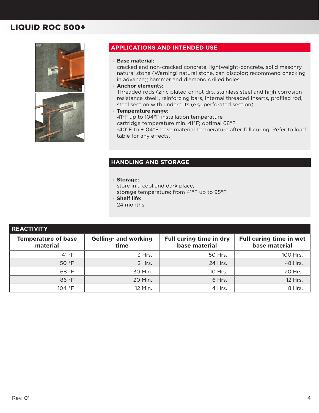

### **APPLICATIONS AND INTENDED USE**

#### • **Base material:**

cracked and non-cracked concrete, lightweight-concrete, solid masonry, natural stone (Warning! natural stone, can discolor; recommend checking in advance); hammer and diamond drilled holes

• **Anchor elements:**

Threaded rods (zinc plated or hot dip, stainless steel and high corrosion resistance steel), reinforcing bars, internal threaded inserts, profiled rod, steel section with undercuts (e.g. perforated section)

• **Temperature range:**

41°F up to 104°F installation temperature cartridge temperature min. 41°F; optimal 68°F -40°F to +104°F base material temperature after full curing. Refer to load table for any effects.

#### **HANDLING AND STORAGE**

#### • **Storage:**

store in a cool and dark place, storage temperature: from 41°F up to 95°F

- **Shelf life:**
- 24 months

| <b>REACTIVITY</b>                      |                                     |                                          |                                          |
|----------------------------------------|-------------------------------------|------------------------------------------|------------------------------------------|
| <b>Temperature of base</b><br>material | <b>Gelling- and working</b><br>time | Full curing time in dry<br>base material | Full curing time in wet<br>base material |
| 41 $\degree$ F                         | 3 Hrs.                              | 50 Hrs.                                  | 100 Hrs.                                 |
| 50 °F                                  | 2 Hrs.                              | 24 Hrs.                                  | 48 Hrs.                                  |
| 68 °F                                  | 30 Min.                             | 10 Hrs.                                  | 20 Hrs.                                  |
| 86 °F                                  | 20 Min.                             | 6 Hrs.                                   | 12 Hrs.                                  |
| 104 °F                                 | 12 Min.                             | 4 Hrs.                                   | 8 Hrs.                                   |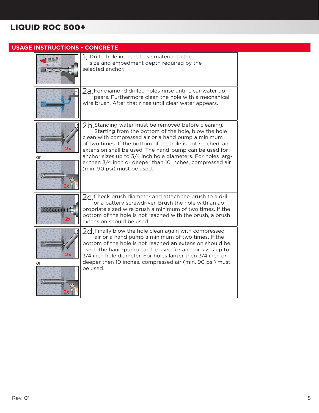| <b>USAGE INSTRUCTIONS - CONCRETE</b> |                                                                                                                                                                                                                                                                                                                                                                                                                                                      |
|--------------------------------------|------------------------------------------------------------------------------------------------------------------------------------------------------------------------------------------------------------------------------------------------------------------------------------------------------------------------------------------------------------------------------------------------------------------------------------------------------|
|                                      | 1. Drill a hole into the base material to the<br>size and embedment depth required by the<br>selected anchor.                                                                                                                                                                                                                                                                                                                                        |
|                                      | $2a$ For diamond drilled holes rinse until clear water ap-<br>pears. Furthermore clean the hole with a mechanical<br>wire brush. After that rinse until clear water appears.                                                                                                                                                                                                                                                                         |
| or                                   | $2b$ Standing water must be removed before cleaning.<br>Starting from the bottom of the hole, blow the hole<br>clean with compressed air or a hand pump a minimum<br>of two times. If the bottom of the hole is not reached, an<br>extension shall be used. The hand-pump can be used for<br>anchor sizes up to 3/4 inch hole diameters. For holes larg-<br>er then 3/4 inch or deeper than 10 inches, compressed air<br>(min. 90 psi) must be used. |
| 2x                                   | $2c$ . Check brush diameter and attach the brush to a drill<br>or a battery screwdriver. Brush the hole with an ap-<br>propriate sized wire brush a minimum of two times. If the<br>bottom of the hole is not reached with the brush, a brush<br>extension should be used.                                                                                                                                                                           |
| 2х<br>or                             | $2d$ Finally blow the hole clean again with compressed<br>air or a hand pump a minimum of two times. If the<br>bottom of the hole is not reached an extension should be<br>used. The hand-pump can be used for anchor sizes up to<br>3/4 inch hole diameter. For holes larger then 3/4 inch or<br>deeper then 10 inches, compressed air (min. 90 psi) must<br>be used.                                                                               |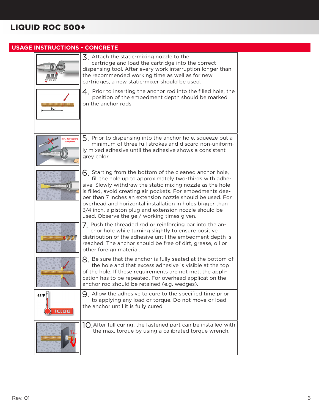### **USAGE INSTRUCTIONS - CONCRETE**  $\overline{3}$ . Attach the static-mixing nozzle to the cartridge and load the cartridge into the correct dispensing tool. After every work interruption longer than the recommended working time as well as for new cartridges, a new static-mixer should be used.  $\mathcal{A}_{\perp}$  Prior to inserting the anchor rod into the filled hole, the position of the embedment depth should be marked on the anchor rods. 5. Prior to dispensing into the anchor hole, squeeze out a minimum of three full strokes and discard non-uniformly mixed adhesive until the adhesive shows a consistent grey color.  $6.$  Starting from the bottom of the cleaned anchor hole, fill the hole up to approximately two-thirds with adhesive. Slowly withdraw the static mixing nozzle as the hole is filled, avoid creating air pockets. For embedments deeper than 7 inches an extension nozzle should be used. For overhead and horizontal installation in holes bigger than 3/4 inch, a piston plug and extension nozzle should be used. Observe the gel/ working times given. 7. Push the threaded rod or reinforcing bar into the anchor hole while turning slightly to ensure positive distribution of the adhesive until the embedment depth is reached. The anchor should be free of dirt, grease, oil or other foreign material.  $8.$  Be sure that the anchor is fully seated at the bottom of the hole and that excess adhesive is visible at the top of the hole. If these requirements are not met, the application has to be repeated. For overhead application the anchor rod should be retained (e.g. wedges). 9. Allow the adhesive to cure to the specified time prior  $68^{\circ}$ F $\approx$ to applying any load or torque. Do not move or load the anchor until it is fully cured.  $10:00$  $10$  After full curing, the fastened part can be installed with the max. torque by using a calibrated torque wrench.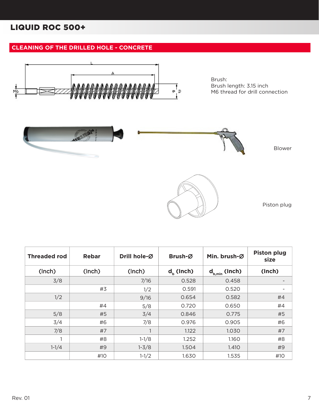### **CLEANING OF THE DRILLED HOLE - CONCRETE**



Brush: Brush length: 3.15 inch M6 thread for drill connection



| <b>Threaded rod</b> | <b>Rebar</b> | Drill hole-Ø | Brush-Ø      | Min. brush-Ø       | <b>Piston plug</b><br>size |
|---------------------|--------------|--------------|--------------|--------------------|----------------------------|
| (Inch)              | (Inch)       | (Inch)       | $d_h$ (lnch) | $d_{b,min}$ (Inch) | (Inch)                     |
| 3/8                 |              | 7/16         | 0.528        | 0.458              |                            |
|                     | #3           | 1/2          | 0.591        | 0.520              | -                          |
| 1/2                 |              | 9/16         | 0.654        | 0.582              | #4                         |
|                     | #4           | 5/8          | 0.720        | 0.650              | #4                         |
| 5/8                 | #5           | 3/4          | 0.846        | 0.775              | #5                         |
| 3/4                 | #6           | 7/8          | 0.976        | 0.905              | #6                         |
| 7/8                 | #7           |              | 1.122        | 1.030              | #7                         |
| 1                   | #8           | $1-1/8$      | 1.252        | 1.160              | #8                         |
| $1 - 1/4$           | #9           | $1 - 3/8$    | 1.504        | 1.410              | #9                         |
|                     | #10          | $1 - 1/2$    | 1.630        | 1.535              | #10                        |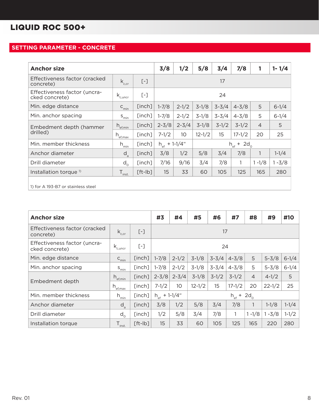### **SETTING PARAMETER - CONCRETE**

| <b>Anchor size</b>                             |                                  |                   | 3/8                      | 1/2             | 5/8        | 3/4       | 7/8                      | 1              | $1 - 1/4$ |  |
|------------------------------------------------|----------------------------------|-------------------|--------------------------|-----------------|------------|-----------|--------------------------|----------------|-----------|--|
| Effectiveness factor (cracked<br>concrete)     | $k_{c,cr}$                       | $\left[ -\right]$ |                          | 17              |            |           |                          |                |           |  |
| Effectiveness factor (uncra-<br>cked concrete) | $k_{\text{c,uncr}}$              | $\left[ -\right]$ | 24                       |                 |            |           |                          |                |           |  |
| Min. edge distance                             | $C_{\text{min}}$                 | [inch]            | $1 - 7/8$                | $2 - 1/2$       | $3-1/8$    | $3 - 3/4$ | $4 - 3/8$                | 5              | $6 - 1/4$ |  |
| Min. anchor spacing                            | $S_{\text{min}}$                 | [inch]            | $1 - 7/8$                | $2 - 1/2$       | $3-1/8$    | $3 - 3/4$ | $4 - 3/8$                | 5              | $6 - 1/4$ |  |
| Embedment depth (hammer                        | $h_{\text{ef,min}}$              | [inch]            | $2 - 3/8$                | $2 - 3/4$       | $3-1/8$    | $3-1/2$   | $3-1/2$                  | $\overline{4}$ | 5         |  |
| drilled)                                       | $h_{\underbrace{\text{ef,max}}}$ | [inch]            | $7 - 1/2$                | 10 <sup>°</sup> | $12 - 1/2$ | 15        | $17 - 1/2$               | 20             | 25        |  |
| Min. member thickness                          | $h_{\underline{min}}$            | [inch]            | $h_{\text{ef}}$ + 1-1/4" |                 |            |           | $h_{\text{ef}} + 2d_{0}$ |                |           |  |
| Anchor diameter                                | $d_{\rm a}$                      | [inch]            | 3/8                      | 1/2             | 5/8        | 3/4       | 7/8                      | $\mathbf{1}$   | $1-1/4$   |  |
| Drill diameter                                 | $d_{\alpha}$                     | [inch]            | 7/16                     | 9/16            | 3/4        | 7/8       | 1                        | $1 - 1/8$      | $1 - 3/8$ |  |
| Installation torque <sup>1)</sup>              | $\mathsf{T}_{\mathsf{inst.}}$    | $[ft-lb]$         | 15                       | 33              | 60         | 105       | 125                      | 165            | 280       |  |
| 1) for A 193-B7 or stainless steel             |                                  |                   |                          |                 |            |           |                          |                |           |  |

| <b>Anchor size</b>                             |                         |           | #3                       | #4                                                       | #5      | #6        | #7                                | #8             | #9        | #10       |
|------------------------------------------------|-------------------------|-----------|--------------------------|----------------------------------------------------------|---------|-----------|-----------------------------------|----------------|-----------|-----------|
| Effectiveness factor (cracked<br>concrete)     | $k_{c,cr}$              | $[-]$     | 17                       |                                                          |         |           |                                   |                |           |           |
| Effectiveness factor (uncra-<br>cked concrete) | $k_{\text{c,uncr}}$     | $[\ ]$    | 24                       |                                                          |         |           |                                   |                |           |           |
| Min. edge distance                             | $C_{min}$               | [inch]    | $1 - 7/8$                | $2 - 1/2$                                                | $3-1/8$ | $3 - 3/4$ | $4 - 3/8$                         | 5              | $5 - 3/8$ | $6 - 1/4$ |
| Min. anchor spacing                            | $S_{\underline{min}}$   | [inch]    | $1 - 7/8$                | $2 - 1/2$                                                | $3-1/8$ | $3 - 3/4$ | $4 - 3/8$                         | 5              | $5 - 3/8$ | $6 - 1/4$ |
|                                                | $h_{\text{ef,min}}$     | [inch]    | $2 - 3/8$                | $2 - 3/4$                                                | $3-1/8$ | $3-1/2$   | $3-1/2$                           | $\overline{4}$ | $4 - 1/2$ | 5         |
| Embedment depth                                | $h_{\text{ef,max}}$     | [inch]    | $7 - 1/2$                | 15<br>$17 - 1/2$<br>10<br>$12 - 1/2$<br>20<br>$22 - 1/2$ |         |           |                                   |                |           | 25        |
| Min. member thickness                          | $h_{\min}$              | [inch]    | $h_{\text{ef}}$ + 1-1/4" |                                                          |         |           | $h_{\text{ef}}$ + 2d <sub>0</sub> |                |           |           |
| Anchor diameter                                | $d_a$                   | [inch]    | 3/8                      | 1/2                                                      | 5/8     | 3/4       | 7/8                               |                | $1-1/8$   | $1 - 1/4$ |
| Drill diameter                                 | $d_{0}$                 | [inch]    | 1/2                      | 5/8                                                      | 3/4     | 7/8       |                                   | $1 - 1/8$      | $1 - 3/8$ | $1 - 1/2$ |
| Installation torque                            | $T_{\underline{inst.}}$ | $[ft-lb]$ | 15                       | 33                                                       | 60      | 105       | 125                               | 165            | 220       | 280       |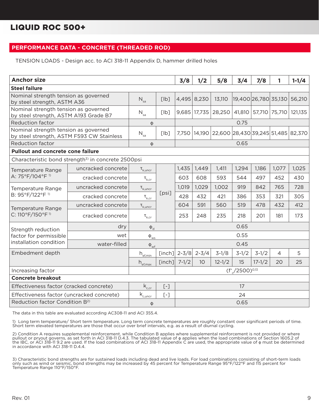#### **PERFORMANCE DATA - CONCRETE (THREADED ROD)**

TENSION LOADS - Design acc. to ACI 318-11 Appendix D, hammer drilled holes

| <b>Anchor size</b>                                                                |                                                                |                                                    |        | 3/8                                                   | 1/2                  | 5/8        | 3/4                  | 7/8                  | 1              | $1 - 1/4$ |
|-----------------------------------------------------------------------------------|----------------------------------------------------------------|----------------------------------------------------|--------|-------------------------------------------------------|----------------------|------------|----------------------|----------------------|----------------|-----------|
| <b>Steel failure</b>                                                              |                                                                |                                                    |        |                                                       |                      |            |                      |                      |                |           |
| Nominal strength tension as governed<br>by steel strength, ASTM A36               |                                                                | $N_{sa}$                                           | [lb]   |                                                       | 4,495 8,230          | 13,110     | 19,400 26,780 35,130 |                      |                | 56,210    |
| Nominal strength tension as governed<br>by steel strength, ASTM A193 Grade B7     |                                                                | $N_{sa}$                                           | [lb]   | 9,685                                                 | 17,735               | 28,250     |                      | 41,810 57,710 75,710 |                | 121,135   |
| <b>Reduction factor</b>                                                           |                                                                | $\phi$                                             |        |                                                       |                      |            | 0.75                 |                      |                |           |
| Nominal strength tension as governed<br>by steel strength, ASTM F593 CW Stainless |                                                                | $N_{sa}$                                           | [lb]   | 22,600 28,430 39,245 51,485 82,370<br>7,750<br>14,190 |                      |            |                      |                      |                |           |
| <b>Reduction factor</b>                                                           |                                                                | Φ                                                  |        |                                                       |                      |            | 0.65                 |                      |                |           |
| <b>Pullout and concrete cone failure</b>                                          |                                                                |                                                    |        |                                                       |                      |            |                      |                      |                |           |
|                                                                                   | Characteristic bond strength <sup>3)</sup> in concrete 2500psi |                                                    |        |                                                       |                      |            |                      |                      |                |           |
| Temperature Range                                                                 | uncracked concrete                                             | $\tau_{k, \text{uncr}}$                            |        | 1,435                                                 | 1,449                | 1,411      | 1,294                | 1,186                | 1,077          | 1,025     |
| A: 75°F/104°F <sup>1)</sup>                                                       | cracked concrete                                               | $\tau_{k,cr}$                                      |        | 603                                                   | 608                  | 593        | 544                  | 497                  | 452            | 430       |
| Temperature Range                                                                 | uncracked concrete                                             | $\tau_{\rm k, uncr}$                               |        | 1,019                                                 | 1,029                | 1,002      | 919                  | 842                  | 765            | 728       |
| B: 95°F/122°F <sup>1)</sup>                                                       | cracked concrete                                               | $\tau_{k,cr}$                                      | [psi]  | 428                                                   | 432                  | 421        | 386                  | 353                  | 321            | 305       |
| Temperature Range                                                                 | uncracked concrete                                             | $\tau_{\rm k, uncr}$                               |        | 604                                                   | 591                  | 560        | 519                  | 478                  | 432            | 412       |
| C: 110°F/150°F <sup>1)</sup>                                                      | cracked concrete                                               | $\tau_{k,cr}$                                      |        | 253                                                   | 248                  | 235        | 218                  | 201                  | 181            | 173       |
| Strength reduction                                                                | dry                                                            | $\Phi_d$                                           |        |                                                       |                      |            | 0.65                 |                      |                |           |
| factor for permissible                                                            | wet                                                            | $\Phi_{\text{ws}}$                                 |        |                                                       |                      |            | 0.55                 |                      |                |           |
| installation condition                                                            | water-filled                                                   | $\Phi_{\rm wf}$                                    |        |                                                       |                      |            | 0.45                 |                      |                |           |
| Embedment depth                                                                   |                                                                | $\mathsf{h}_{\scriptscriptstyle \sf eff, \sf min}$ |        |                                                       | [inch] $2-3/8$ 2-3/4 | $3-1/8$    | $3-1/2$              | $3-1/2$              | $\overline{4}$ | 5         |
|                                                                                   |                                                                | $h_{\text{ef,max}}$                                | [inch] | $7 - 1/2$                                             | 10                   | $12 - 1/2$ | 15                   | $17 - 1/2$           | 20             | 25        |
| Increasing factor                                                                 |                                                                |                                                    |        |                                                       |                      |            | $(f'/2500)^{0,13}$   |                      |                |           |
| <b>Concrete breakout</b>                                                          |                                                                |                                                    |        |                                                       |                      |            |                      |                      |                |           |
| Effectiveness factor (cracked concrete)                                           | $k_{c,cr}$                                                     | $[-]$                                              |        |                                                       |                      | 17         |                      |                      |                |           |
| Effectiveness factor (uncracked concrete)                                         |                                                                | $\mathsf{k}_{\underbar{\text{c},\text{uncr}}}$     | $[-]$  |                                                       |                      |            | 24                   |                      |                |           |
| Reduction factor Condition B <sup>2)</sup>                                        |                                                                | φ                                                  |        |                                                       |                      |            | 0.65                 |                      |                |           |

The data in this table are evaluated according AC308-11 and ACI 355.4.

1) Long term temperature/ Short term temperature. Long term concrete temperatures are roughly constant over significant periods of time. Short term elevated temperatures are those that occur over brief intervals, e.g. as a result of diurnal cycling.

2) Condition A requires supplemental reinforcement, while Condition B applies where supplemental reinforcement is not provided or where pullout or pryout governs, as set forth in ACI 318-11 D.4.3. The tabulated value of φ applies when the load combinations of Section 1605.2 of the IBC, or ACI 318-11 9.2 are used. If the load combinations of ACI 318-11 Appendix C are used, the appropriate value of φ must be determined in accordance with ACI 318-11 D.4.4.

3) Characteristic bond strengths are for sustained loads including dead and live loads. For load combinations consisting of short-term loads only such as wind or seismic, bond strengths may be increased by 45 percent for Temperature Range 95°F/122°F and 115 percent for Temperature Range 110°F/150°F.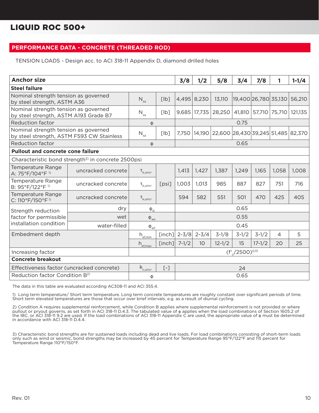#### **PERFORMANCE DATA - CONCRETE (THREADED ROD)**

TENSION LOADS - Design acc. to ACI 318-11 Appendix D, diamond drilled holes

| <b>Anchor size</b>                                                                |                                                                |                                                                    |                                                            | 3/8       | 1/2          | 5/8        | 3/4                  | 7/8           | 1              | $1 - 1/4$ |
|-----------------------------------------------------------------------------------|----------------------------------------------------------------|--------------------------------------------------------------------|------------------------------------------------------------|-----------|--------------|------------|----------------------|---------------|----------------|-----------|
| <b>Steel failure</b>                                                              |                                                                |                                                                    |                                                            |           |              |            |                      |               |                |           |
| Nominal strength tension as governed<br>by steel strength, ASTM A36               |                                                                | $N_{sa}$                                                           | [lb]                                                       | 4,495     | 8,230        | 13,110     | 19,400 26,780 35,130 |               |                | 56,210    |
| Nominal strength tension as governed<br>by steel strength, ASTM A193 Grade B7     |                                                                | $N_{sa}$                                                           | [lb]                                                       |           | 9,685 17,735 | 28,250     | 41,810               | 57,710 75,710 |                | 121,135   |
| Reduction factor                                                                  |                                                                | φ                                                                  |                                                            |           |              |            | 0.75                 |               |                |           |
| Nominal strength tension as governed<br>by steel strength, ASTM F593 CW Stainless |                                                                | $N_{sa}$                                                           | 14,190 22,600 28,430 39,245 51,485 82,370<br>[lb]<br>7,750 |           |              |            |                      |               |                |           |
| <b>Reduction factor</b>                                                           |                                                                | φ                                                                  |                                                            |           |              |            | 0.65                 |               |                |           |
| <b>Pullout and concrete cone failure</b>                                          |                                                                |                                                                    |                                                            |           |              |            |                      |               |                |           |
|                                                                                   | Characteristic bond strength <sup>3)</sup> in concrete 2500psi |                                                                    |                                                            |           |              |            |                      |               |                |           |
| Temperature Range<br>A: 75°F/104°F <sup>1)</sup>                                  | uncracked concrete                                             | $\tau_{k,\text{uncr}}$                                             |                                                            | 1,413     | 1,427        | 1,387      | 1,249                | 1,165         | 1,058          | 1,008     |
| Temperature Range<br>B: 95°F/122°F <sup>1)</sup>                                  | uncracked concrete                                             | $\mathbf{T}_{\mathsf{k},\mathsf{uncr}}$                            | [psi]                                                      | 1,003     | 1,013        | 985        | 887                  | 827           | 751            | 716       |
| Temperature Range<br>C: 110°F/150°F <sup>1)</sup>                                 | uncracked concrete                                             | $\tau_{k, \text{uncr}}$                                            |                                                            | 594       | 582          | 551        | 501                  | 470           | 425            | 405       |
| Strength reduction                                                                | dry                                                            | $\Phi_{\rm d}$                                                     |                                                            |           |              |            | 0.65                 |               |                |           |
| factor for permissible                                                            | wet                                                            | $\Phi_{\text{ws}}$                                                 |                                                            |           |              |            | 0.55                 |               |                |           |
| installation condition                                                            | water-filled                                                   | $\Phi_{\rm wf}$                                                    |                                                            |           |              |            | 0.45                 |               |                |           |
| Embedment depth                                                                   |                                                                | $\mathsf{h}_{\scriptscriptstyle{\underbar{\text{ef}},\text{min}}}$ | [inch]                                                     | $2 - 3/8$ | $2 - 3/4$    | $3-1/8$    | $3-1/2$              | $3-1/2$       | $\overline{4}$ | 5         |
|                                                                                   |                                                                | $h_{\text{ef,max}}$                                                | [inch]                                                     | $7 - 1/2$ | 10           | $12 - 1/2$ | 15                   | $17 - 1/2$    | 20             | 25        |
| Increasing factor                                                                 |                                                                |                                                                    |                                                            |           |              |            | $(f'/2500)^{0,13}$   |               |                |           |
| <b>Concrete breakout</b>                                                          |                                                                |                                                                    |                                                            |           |              |            |                      |               |                |           |
| Effectiveness factor (uncracked concrete)                                         |                                                                | $\mathsf{k}_{\text{c,uncr}}$                                       | $[-]$                                                      |           |              |            | 24                   |               |                |           |
| Reduction factor Condition B <sup>2)</sup>                                        |                                                                | Φ                                                                  |                                                            |           |              |            | 0.65                 |               |                |           |

The data in this table are evaluated according AC308-11 and ACI 355.4.

1) Long term temperature/ Short term temperature. Long term concrete temperatures are roughly constant over significant periods of time. Short term elevated temperatures are those that occur over brief intervals, e.g. as a result of diurnal cycling.

2) Condition A requires supplemental reinforcement, while Condition B applies where supplemental reinforcement is not provided or where pullout or pryout governs, as set forth in ACI 318-11 D.4.3. The tabulated value of φ applies when the load combinations of Section 1605.2 of the IBC, or ACI 318-11 9.2 are used. If the load combinations of ACI 318-11 Appendix C are used, the appropriate value of φ must be determined in accordance with ACI 318-11 D.4.4.

3) Characteristic bond strengths are for sustained loads including dead and live loads. For load combinations consisting of short-term loads only such as wind or seismic, bond strengths may be increased by 45 percent for Temperature Range 95°F/122°F and 115 percent for Temperature Range 110°F/150°F.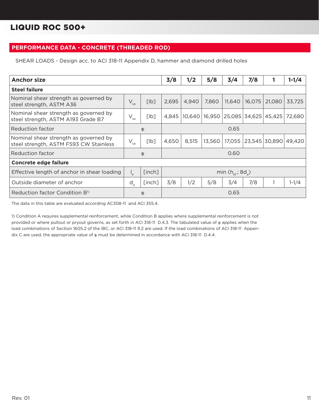### **PERFORMANCE DATA - CONCRETE (THREADED ROD)**

SHEAR LOADS - Design acc. to ACI 318-11 Appendix D, hammer and diamond drilled holes

| <b>Anchor size</b>                                                              |                            |        | 3/8   | 1/2   | 5/8    | 3/4                                        | 7/8    | ı                        | $1 - 1/4$ |  |
|---------------------------------------------------------------------------------|----------------------------|--------|-------|-------|--------|--------------------------------------------|--------|--------------------------|-----------|--|
| <b>Steel failure</b>                                                            |                            |        |       |       |        |                                            |        |                          |           |  |
| Nominal shear strength as governed by<br>steel strength, ASTM A36               | $V_{sa}$                   | [lb]   | 2,695 | 4,940 | 7,860  | 11,640                                     | 16,075 | 21,080                   | 33,725    |  |
| Nominal shear strength as governed by<br>steel strength, ASTM A193 Grade B7     | $\mathsf{V}_{\mathsf{sa}}$ | [lb]   | 4.845 |       |        | 10,640   16,950   25,085   34,625   45,425 |        |                          | 72.680    |  |
| Reduction factor                                                                |                            | φ      |       | 0.65  |        |                                            |        |                          |           |  |
| Nominal shear strength as governed by<br>steel strength, ASTM F593 CW Stainless | $\mathsf{V}_{\mathsf{sa}}$ | [lb]   | 4,650 | 8,515 | 13,560 | 17,055                                     |        | 23,545   30,890   49,420 |           |  |
| Reduction factor                                                                |                            | φ      |       |       |        | 0.60                                       |        |                          |           |  |
| <b>Concrete edge failure</b>                                                    |                            |        |       |       |        |                                            |        |                          |           |  |
| Effective length of anchor in shear loading                                     |                            | [inch] |       |       |        | min $(h_{\text{ref}}; 8d_{\text{d}})$      |        |                          |           |  |
| Outside diameter of anchor                                                      | $d_{\rm a}$                | [inch] | 3/8   | 1/2   | 5/8    | 3/4                                        | 7/8    |                          | $1-1/4$   |  |
| Reduction factor Condition B <sup>1)</sup>                                      |                            | φ      |       |       |        | 0.65                                       |        |                          |           |  |

The data in this table are evaluated according AC308-11 and ACI 355.4.

1) Condition A requires supplemental reinforcement, while Condition B applies where supplemental reinforcement is not provided or where pullout or pryout governs, as set forth in ACI 318-11 D.4.3. The tabulated value of φ applies when the load combinations of Section 1605.2 of the IBC, or ACI 318-11 9.2 are used. If the load combinations of ACI 318-11 Appendix C are used, the appropriate value of φ must be determined in accordance with ACI 318-11 D.4.4.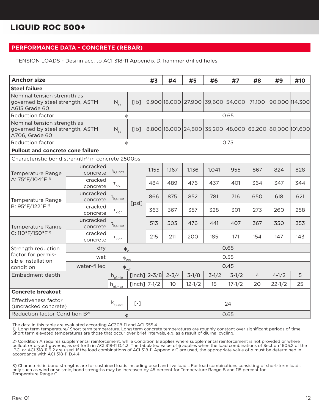#### **PERFORMANCE DATA - CONCRETE (REBAR)**

TENSION LOADS - Design acc. to ACI 318-11 Appendix D, hammer drilled holes

| <b>Anchor size</b>                                                                |                                          |                                         |                                                                            | #3             | #4        | #5      | #6      | #7                                | #8             | #9                                                             | #10 |
|-----------------------------------------------------------------------------------|------------------------------------------|-----------------------------------------|----------------------------------------------------------------------------|----------------|-----------|---------|---------|-----------------------------------|----------------|----------------------------------------------------------------|-----|
| <b>Steel failure</b>                                                              |                                          |                                         |                                                                            |                |           |         |         |                                   |                |                                                                |     |
| Nominal tension strength as<br>governed by steel strength, ASTM<br>A615 Grade 60  |                                          | $N_{\rm sa}$                            | [lb]                                                                       |                |           |         |         | 9,900 18,000 27,900 39,600 54,000 | 71,100         | 90,000 114,300                                                 |     |
| <b>Reduction factor</b>                                                           |                                          | Ф                                       |                                                                            |                |           |         |         | 0.65                              |                |                                                                |     |
| Nominal tension strength as<br>governed by steel strength, ASTM<br>A706, Grade 60 |                                          | $N_{sa}$                                | [lb]                                                                       |                |           |         |         |                                   |                | 8,800  16,000  24,800  35,200  48,000  63,200  80,000  101,600 |     |
| <b>Reduction factor</b>                                                           |                                          | φ                                       |                                                                            |                |           |         |         | 0.75                              |                |                                                                |     |
|                                                                                   | <b>Pullout and concrete cone failure</b> |                                         |                                                                            |                |           |         |         |                                   |                |                                                                |     |
| Characteristic bond strength <sup>3)</sup> in concrete 2500psi                    |                                          |                                         |                                                                            |                |           |         |         |                                   |                |                                                                |     |
| Temperature Range                                                                 | uncracked<br>concrete                    | $\tau_{k,\text{uncr}}$                  |                                                                            | 1,155          | 1,167     | 1,136   | 1,041   | 955                               | 867            | 824                                                            | 828 |
| A: 75°F/104°F <sup>1)</sup>                                                       | cracked<br>concrete                      | $\tau_{k,cr}$                           |                                                                            | 484            | 489       | 476     | 437     | 401                               | 364            | 347                                                            | 344 |
| Temperature Range                                                                 | uncracked<br>concrete                    | $\tau_{k,\text{uncr}}$                  | [psi]                                                                      | 866            | 875       | 852     | 781     | 716                               | 650            | 618                                                            | 621 |
| B: 95°F/122°F <sup>1)</sup>                                                       | cracked<br>concrete                      | $\tau_{\rm k,cr}$                       |                                                                            | 363            | 367       | 357     | 328     | 301                               | 273            | 260                                                            | 258 |
| Temperature Range                                                                 | uncracked<br>concrete                    | $\tau_{k,\text{uncr}}$                  |                                                                            | 513            | 503       | 476     | 441     | 407                               | 367            | 350                                                            | 353 |
| C: 110°F/150°F <sup>1)</sup>                                                      | cracked<br>concrete                      | $\tau_{k,cr}$                           |                                                                            | 215            | 211       | 200     | 185     | 171                               | 154            | 147                                                            | 143 |
| Strength reduction                                                                | dry                                      | $\Phi_{\rm d}$                          |                                                                            |                |           |         |         | 0.65                              |                |                                                                |     |
| factor for permis-<br>sible installation                                          | wet                                      | $\varphi_{\underline{w}\underline{s}}$  |                                                                            |                |           |         |         | 0.55                              |                |                                                                |     |
| condition                                                                         | water-filled                             | $\Phi_{\text{wf}}$                      |                                                                            |                |           |         |         | 0.45                              |                |                                                                |     |
| Embedment depth                                                                   |                                          | $h_{\text{ef,min}}$                     |                                                                            | [inch] $2-3/8$ | $2 - 3/4$ | $3-1/8$ | $3-1/2$ | $3-1/2$                           | $\overline{4}$ | $4 - 1/2$                                                      | 5   |
|                                                                                   |                                          | $h_{\frac{\text{ef,max}}{\text{emax}}}$ | [inch] $7-1/2$<br>10<br>$12 - 1/2$<br>15<br>$17 - 1/2$<br>20<br>$22 - 1/2$ |                |           |         |         |                                   |                | 25                                                             |     |
| <b>Concrete breakout</b>                                                          |                                          |                                         |                                                                            |                |           |         |         |                                   |                |                                                                |     |
| Effectiveness factor<br>(uncracked concrete)                                      |                                          | $\mathsf{k}_{\rm c,uncr}$               | $[ - ]$                                                                    |                |           |         |         | 24                                |                |                                                                |     |
| Reduction factor Condition B <sup>2)</sup>                                        |                                          | φ                                       |                                                                            |                |           |         |         | 0.65                              |                |                                                                |     |

The data in this table are evaluated according AC308-11 and ACI 355.4.

1) Long term temperature/ Short term temperature. Long term concrete temperatures are roughly constant over significant periods of time. Short term elevated temperatures are those that occur over brief intervals, e.g. as a result of diurnal cycling.

2) Condition A requires supplemental reinforcement, while Condition B applies where supplemental reinforcement is not provided or where<br>pullout or pryout governs, as set forth in ACI 318-11 D.4.3. The tabulated value of ¢ IBC, or ACI 318-11 9.2 are used. If the load combinations of ACI 318-11 Appendix C are used, the appropriate value of φ must be determined in accordance with ACI 318-11 D.4.4.

3) Characteristic bond strengths are for sustained loads including dead and live loads. For load combinations consisting of short-term loads only such as wind or seismic, bond strengths may be increased by 45 percent for Temperature Range B and 115 percent for Temperature Range C.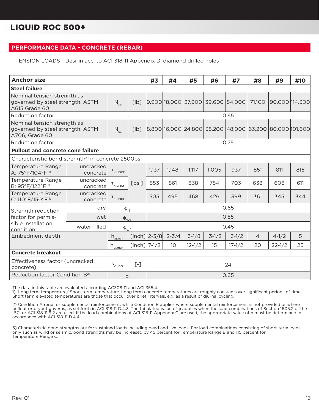#### **PERFORMANCE DATA - CONCRETE (REBAR)**

TENSION LOADS - Design acc. to ACI 318-11 Appendix D, diamond drilled holes

| <b>Anchor size</b>                                                                |                       |                                     |                | #3             | #4        | #5         | #6      | #7                                | #8             | #9                                                                  | #10 |  |
|-----------------------------------------------------------------------------------|-----------------------|-------------------------------------|----------------|----------------|-----------|------------|---------|-----------------------------------|----------------|---------------------------------------------------------------------|-----|--|
| <b>Steel failure</b>                                                              |                       |                                     |                |                |           |            |         |                                   |                |                                                                     |     |  |
| Nominal tension strength as<br>governed by steel strength, ASTM<br>A615 Grade 60  |                       | $N_{sa}$                            | [lb]           |                |           |            |         | 9,900 18,000 27,900 39,600 54,000 | 71,100         | 90,000 114,300                                                      |     |  |
| <b>Reduction factor</b>                                                           |                       | Φ                                   |                | 0.65           |           |            |         |                                   |                |                                                                     |     |  |
| Nominal tension strength as<br>governed by steel strength, ASTM<br>A706, Grade 60 |                       | $N_{sa}$<br>[Ib]                    |                |                |           |            |         |                                   |                | 8,800 16,000   24,800   35,200   48,000   63,200   80,000   101,600 |     |  |
| <b>Reduction factor</b>                                                           |                       | φ                                   |                |                |           |            |         | 0.75                              |                |                                                                     |     |  |
| <b>Pullout and concrete cone failure</b>                                          |                       |                                     |                |                |           |            |         |                                   |                |                                                                     |     |  |
| Characteristic bond strength <sup>3)</sup> in concrete 2500psi                    |                       |                                     |                |                |           |            |         |                                   |                |                                                                     |     |  |
| Temperature Range<br>A: 75°F/104°F 1)                                             | uncracked<br>concrete | $\tau_{k,\text{uncr}}$              |                | 1,137          | 1,148     | 1,117      | 1,005   | 937                               | 851            | 811                                                                 | 815 |  |
| Temperature Range<br>B: 95°F/122°F <sup>1)</sup>                                  | uncracked<br>concrete | $\tau_{k,\text{uncr}}$              | [psi]          | 853            | 861       | 838        | 754     | 703                               | 638            | 608                                                                 | 611 |  |
| Temperature Range<br>C: 110°F/150°F <sup>1)</sup>                                 | uncracked<br>concrete | $\mathbf{t}_{k,\text{uncr}}$        |                | 505            | 495       | 468        | 426     | 399                               | 361            | 345                                                                 | 344 |  |
| Strength reduction                                                                | dry                   | $\Phi_{\rm d}$                      |                |                |           |            |         | 0.65                              |                |                                                                     |     |  |
| factor for permis-                                                                | wet                   | $\Phi_{\text{WS}}$                  |                |                |           |            |         | 0.55                              |                |                                                                     |     |  |
| sible installation<br>condition                                                   | water-filled          | $\Phi_{\underline{w}\underline{f}}$ |                |                |           |            |         | 0.45                              |                |                                                                     |     |  |
| Embedment depth                                                                   |                       | $h_{\underline{\textrm{ef,min}}}$   |                | [inch] $2-3/8$ | $2 - 3/4$ | $3-1/8$    | $3-1/2$ | $3-1/2$                           | $\overline{4}$ | $4 - 1/2$                                                           | 5   |  |
|                                                                                   |                       | $h_{\underline{\text{ef,max}}}$     | [inch] $7-1/2$ |                | 10        | $12 - 1/2$ | 15      | $17 - 1/2$                        | 20             | $22 - 1/2$                                                          | 25  |  |
| <b>Concrete breakout</b>                                                          |                       |                                     |                |                |           |            |         |                                   |                |                                                                     |     |  |
| Effectiveness factor (uncracked<br>concrete)                                      |                       | $\mathsf{k}_{\rm c,uncr}$           | $[ - ]$        |                | 24        |            |         |                                   |                |                                                                     |     |  |
| Reduction factor Condition B <sup>2)</sup>                                        |                       | Φ                                   |                |                |           |            |         | 0.65                              |                |                                                                     |     |  |

The data in this table are evaluated according AC308-11 and ACI 355.4.

1) Long term temperature/ Short term temperature. Long term concrete temperatures are roughly constant over significant periods of time. Short term elevated temperatures are those that occur over brief intervals, e.g. as a result of diurnal cycling.

2) Condition A requires supplemental reinforcement, while Condition B applies where supplemental reinforcement is not provided or where pullout or pryout governs, as set forth in ACI 318-11 D.4.3. The tabulated value of φ applies when the load combinations of Section 1605.2 of the IBC, or ACI 318-11 9.2 are used. If the load combinations of ACI 318-11 Appendix C are used, the appropriate value of φ must be determined in accordance with ACI 318-11 D.4.4.

3) Characteristic bond strengths are for sustained loads including dead and live loads. For load combinations consisting of short-term loads only such as wind or seismic, bond strengths may be increased by 45 percent for Temperature Range B and 115 percent for Temperature Range C.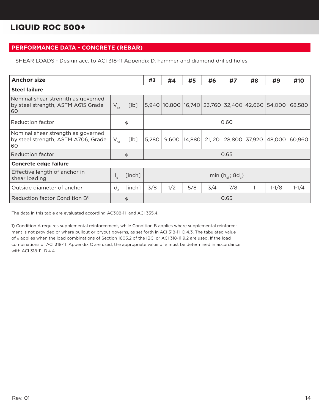### **PERFORMANCE DATA - CONCRETE (REBAR)**

SHEAR LOADS - Design acc. to ACI 318-11 Appendix D, hammer and diamond drilled holes

| <b>Anchor size</b>                                                              |             |        | #3    | #4  | #5             | #6  | #7                                   | #8                   | #9                                              | #10     |  |
|---------------------------------------------------------------------------------|-------------|--------|-------|-----|----------------|-----|--------------------------------------|----------------------|-------------------------------------------------|---------|--|
| <b>Steel failure</b>                                                            |             |        |       |     |                |     |                                      |                      |                                                 |         |  |
| Nominal shear strength as governed<br>by steel strength, ASTM A615 Grade<br>60  | $V_{sa}$    | [lb]   |       |     |                |     |                                      |                      | 5,940 10,800 16,740 23,760 32,400 42,660 54,000 | 68,580  |  |
| Reduction factor                                                                |             | Φ      | 0.60  |     |                |     |                                      |                      |                                                 |         |  |
| Nominal shear strength as governed<br>by steel strength, ASTM A706, Grade<br>60 | $V_{sa}$    | [lb]   | 5,280 |     | 9,600   14,880 |     |                                      | 21,120 28,800 37,920 | 48,000                                          | 60,960  |  |
| <b>Reduction factor</b>                                                         |             | φ      |       |     |                |     | 0.65                                 |                      |                                                 |         |  |
| <b>Concrete edge failure</b>                                                    |             |        |       |     |                |     |                                      |                      |                                                 |         |  |
| Effective length of anchor in<br>shear loading                                  |             | [inch] |       |     |                |     | min $(h_{\text{ef}}; 8d_{\text{a}})$ |                      |                                                 |         |  |
| Outside diameter of anchor                                                      | $d_{\rm a}$ | [inch] | 3/8   | 1/2 | 5/8            | 3/4 | 7/8                                  |                      | $1-1/8$                                         | $1-1/4$ |  |
| Reduction factor Condition B <sup>1)</sup>                                      |             | Φ      |       |     |                |     | 0.65                                 |                      |                                                 |         |  |

The data in this table are evaluated according AC308-11 and ACI 355.4.

1) Condition A requires supplemental reinforcement, while Condition B applies where supplemental reinforcement is not provided or where pullout or pryout governs, as set forth in ACI 318-11 D.4.3. The tabulated value of φ applies when the load combinations of Section 1605.2 of the IBC, or ACI 318-11 9.2 are used. If the load combinations of ACI 318-11 Appendix C are used, the appropriate value of φ must be determined in accordance with ACI 318-11 D.4.4.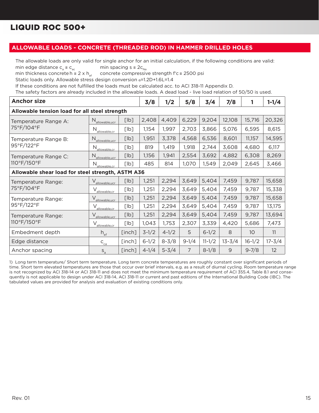#### **ALLOWABLE LOADS - CONCRETE (THREADED ROD) IN HAMMER DRILLED HOLES**

The allowable loads are only valid for single anchor for an initial calculation, if the following conditions are valid: min edge distance  $c_a \ge c_{ac}$  min spacing  $s \ge 2c_{Na}$ <br>min thickness concrete h  $\ge 2 \times h_{af}$  concrete compressiv

concrete compressive strength f'c ≥ 2500 psi

Static loads only. Allowable stress design conversion α=1.2D+1.6L=1.4

If these conditions are not fulfilled the loads must be calculated acc. to ACI 318-11 Appendix D.

The safety factors are already included in the allowable loads. A dead load - live load relation of 50/50 is used.

| <b>Anchor size</b>                                |                               |        | 3/8       | 1/2       | 5/8     | 3/4        | 7/8        | 1               | $1 - 1/4$  |  |  |
|---------------------------------------------------|-------------------------------|--------|-----------|-----------|---------|------------|------------|-----------------|------------|--|--|
| Allowable tension load for all steel strength     |                               |        |           |           |         |            |            |                 |            |  |  |
| Temperature Range A:                              | $N_{\text{allowable,ucr}}$    | [lb]   | 2,408     | 4,409     | 6,229   | 9,204      | 12,108     | 15,716          | 20,326     |  |  |
| 75°F/104°F                                        | N<br>allowable.cr             | [lb]   | 1,154     | 1,997     | 2,703   | 3,866      | 5,076      | 6,595           | 8,615      |  |  |
| Temperature Range B:                              | N<br>allowable.ucr            | [lb]   | 1,951     | 3,378     | 4,568   | 6,536      | 8,601      | 11,157          | 14,595     |  |  |
| 95°F/122°F                                        | N <sub>allowable.cr</sub>     | [lb]   | 819       | 1,419     | 1,918   | 2,744      | 3,608      | 4,680           | 6,117      |  |  |
| Temperature Range C:<br>110°F/150°F               | N<br>allowable.ucr            | [lb]   | 1,156     | 1,941     | 2,554   | 3,692      | 4,882      | 6,308           | 8,269      |  |  |
|                                                   | $N_{\text{allowable,cr}}$     | [lb]   | 485       | 814       | 1,070   | 1,549      | 2,049      | 2,645           | 3,466      |  |  |
| Allowable shear load for steel strength, ASTM A36 |                               |        |           |           |         |            |            |                 |            |  |  |
| Temperature Range:                                | V<br>allowable,ucr            | [lb]   | 1,251     | 2,294     | 3,649   | 5,404      | 7,459      | 9,787           | 15,658     |  |  |
| 75°F/104°F                                        | allowable.cr                  | [lb]   | 1,251     | 2,294     | 3,649   | 5,404      | 7,459      | 9,787           | 15,338     |  |  |
| Temperature Range:                                | $\vee$<br>allowable.ucr       | [lb]   | 1,251     | 2,294     | 3,649   | 5,404      | 7,459      | 9,787           | 15,658     |  |  |
| 95°F/122°F                                        | allowable,cr                  | [lb]   | 1,251     | 2,294     | 3,649   | 5,404      | 7,459      | 9,787           | 13,175     |  |  |
| Temperature Range:                                | $\vee$<br>allowable,ucr       | [lb]   | 1,251     | 2,294     | 3,649   | 5,404      | 7,459      | 9,787           | 13,694     |  |  |
| 110°F/150°F                                       | allowable.cr                  | [lb]   | 1,043     | 1,753     | 2,307   | 3,339      | 4,420      | 5,686           | 7,473      |  |  |
| Embedment depth                                   | $h_{\text{ef}}$               | [inch] | $3-1/2$   | $4 - 1/2$ | 5       | $6 - 1/2$  | 8          | 10 <sup>°</sup> | 11         |  |  |
| Edge distance                                     | $C_{_{\underline{C\bar{a}}}}$ | [inch] | $6 - 1/2$ | $8 - 3/8$ | $9-1/4$ | $11 - 1/2$ | $13 - 3/4$ | $16 - 1/2$      | $17 - 3/4$ |  |  |
| Anchor spacing                                    | $S_a$                         | [inch] | $4 - 1/4$ | $5 - 3/4$ | 7       | $8 - 1/8$  | 9          | $9 - 7/8$       | 12         |  |  |

1) Long term temperature/ Short term temperature. Long term concrete temperatures are roughly constant over significant periods of time. Short term elevated temperatures are those that occur over brief intervals, e.g. as a result of diurnal cycling. Room temperature range is not recognized by ACI 318-14 or ACI 318-11 and does not meet the minimum temperature requirement of ACI 355.4, Table 8.1 and consequently is not applicable to design under ACI 318-14, ACI 318-11 or current and past editions of the International Building Code (IBC). The tabulated values are provided for analysis and evaluation of existing conditions only.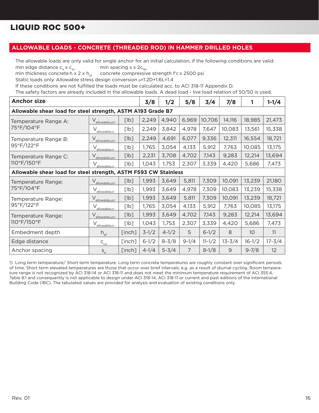#### **ALLOWABLE LOADS - CONCRETE (THREADED ROD) IN HAMMER DRILLED HOLES**

The allowable loads are only valid for single anchor for an initial calculation, if the following conditions are valid: min edge distance  $c_a \ge c_{ac}$  min spacing  $s \ge 2c_{Na}$ <br>min thickness concrete h  $\ge 2 \times h_{af}$  concrete compressiv

concrete compressive strength f'c ≥ 2500 psi

Static loads only. Allowable stress design conversion α=1.2D+1.6L=1.4

If these conditions are not fulfilled the loads must be calculated acc. to ACI 318-11 Appendix D.

The safety factors are already included in the allowable loads. A dead load - live load relation of 50/50 is used.

| <b>Anchor size</b>                                              |                               |        | 3/8       | 1/2       | 5/8            | 3/4        | 7/8        | 1               | $1 - 1/4$  |  |  |
|-----------------------------------------------------------------|-------------------------------|--------|-----------|-----------|----------------|------------|------------|-----------------|------------|--|--|
| Allowable shear load for steel strength, ASTM A193 Grade B7     |                               |        |           |           |                |            |            |                 |            |  |  |
| Temperature Range A:                                            | $V_{\text{allowable,ucr}}$    | [lb]   | 2,249     | 4,940     | 6,969          | 10,706     | 14,116     | 18,985          | 21,473     |  |  |
| 75°F/104°F                                                      | V <sub>allowable,cr</sub>     | [lb]   | 2,249     | 3,842     | 4,978          | 7,647      | 10,083     | 13,561          | 15,338     |  |  |
| Temperature Range B:                                            | allowable.ucr                 | [lb]   | 2,249     | 4,691     | 6,077          | 9,336      | 12,311     | 16,554          | 18,721     |  |  |
| 95°F/122°F                                                      | $\vee$<br>allowable.cr        | [lb]   | 1,765     | 3,054     | 4,133          | 5,912      | 7,763      | 10,085          | 13,175     |  |  |
| Temperature Range C:<br>110°F/150°F                             | $\vee$<br>allowable,ucr       | [lb]   | 2,231     | 3,708     | 4,702          | 7,143      | 9,283      | 12,214          | 13,694     |  |  |
|                                                                 | $V_{\text{allowable,cr}}$     | [lb]   | 1,043     | 1,753     | 2,307          | 3,339      | 4,420      | 5,686           | 7,473      |  |  |
| Allowable shear load for steel strength, ASTM F593 CW Stainless |                               |        |           |           |                |            |            |                 |            |  |  |
| Temperature Range:                                              | $V_{\text{allowable,ucr}}$    | [lb]   | 1,993     | 3,649     | 5,811          | 7,309      | 10,091     | 13,239          | 21,180     |  |  |
| 75°F/104°F                                                      | $V_{\text{allowable,cr}}$     | [lb]   | 1,993     | 3,649     | 4,978          | 7,309      | 10,083     | 13,239          | 15,338     |  |  |
| Temperature Range:<br>95°F/122°F                                | $\vee$<br>allowable.ucr       | [lb]   | 1,993     | 3,649     | 5,811          | 7,309      | 10,091     | 13,239          | 18,721     |  |  |
|                                                                 | allowable.cr                  | [lb]   | 1,765     | 3,054     | 4,133          | 5,912      | 7,763      | 10,085          | 13,175     |  |  |
| Temperature Range:                                              | $\vee$<br>allowable.ucr       | [lb]   | 1,993     | 3,649     | 4,702          | 7,143      | 9,283      | 12,214          | 13,694     |  |  |
| 110°F/150°F                                                     | allowable.cr                  | [lb]   | 1,043     | 1,753     | 2,307          | 3,339      | 4,420      | 5,686           | 7,473      |  |  |
| Embedment depth                                                 | $h_{\text{ef}}$               | [inch] | $3-1/2$   | $4 - 1/2$ | 5              | $6 - 1/2$  | 8          | 10 <sup>°</sup> | 11         |  |  |
| Edge distance                                                   | $C_{_{\underline{C\bar{a}}}}$ | [inch] | $6 - 1/2$ | $8 - 3/8$ | $9 - 1/4$      | $11 - 1/2$ | $13 - 3/4$ | $16 - 1/2$      | $17 - 3/4$ |  |  |
| Anchor spacing                                                  | $S_a$                         | [inch] | $4 - 1/4$ | $5 - 3/4$ | $\overline{7}$ | $8 - 1/8$  | 9          | $9 - 7/8$       | 12         |  |  |

1) Long term temperature/ Short term temperature. Long term concrete temperatures are roughly constant over significant periods of time. Short term elevated temperatures are those that occur over brief intervals, e.g. as a result of diurnal cycling. Room temperature range is not recognized by ACI 318-14 or ACI 318-11 and does not meet the minimum temperature requirement of ACI 355.4, Table 8.1 and consequently is not applicable to design under ACI 318-14, ACI 318-11 or current and past editions of the International Building Code (IBC). The tabulated values are provided for analysis and evaluation of existing conditions only.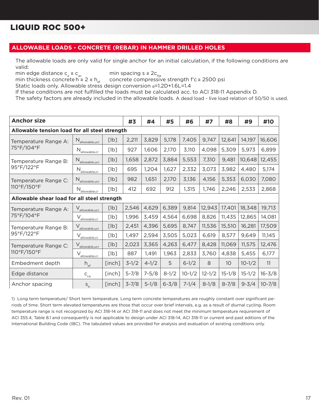#### **ALLOWABLE LOADS - CONCRETE (REBAR) IN HAMMER DRILLED HOLES**

The allowable loads are only valid for single anchor for an initial calculation, if the following conditions are valid:

min edge distance  $c_a \ge c_{ac}$  min spacing  $s \ge 2c_{Na}$ <br>min thickness concrete h  $\ge 2 \times h_{af}$  concrete compressiv concrete compressive strength f'c  $\ge$  2500 psi

Static loads only. Allowable stress design conversion α=1.2D+1.6L=1.4

If these conditions are not fulfilled the loads must be calculated acc. to ACI 318-11 Appendix D.

The safety factors are already included in the allowable loads. A dead load - live load relation of 50/50 is used.

| <b>Anchor size</b>                            |                                       |        | #3        | #4        | #5        | #6         | #7         | #8         | #9         | #10        |
|-----------------------------------------------|---------------------------------------|--------|-----------|-----------|-----------|------------|------------|------------|------------|------------|
| Allowable tension load for all steel strength |                                       |        |           |           |           |            |            |            |            |            |
| Temperature Range A:                          | N <sub>allowable, ucr</sub>           | [lb]   | 2,211     | 3,829     | 5,178     | 7,405      | 9,747      | 12,641     | 14,197     | 16,606     |
| 75°F/104°F                                    | $N_{\text{allowable,cr}}$             | [lb]   | 927       | 1,606     | 2,170     | 3,110      | 4,098      | 5,309      | 5,973      | 6,899      |
| Temperature Range B:                          | $N_{\text{allowable,ucr}}$            | [lb]   | 1,658     | 2,872     | 3,884     | 5,553      | 7,310      | 9,481      | 10,648     | 12,455     |
| 95°F/122°F                                    | $N_{\text{allowable,cr}}$             | [lb]   | 695       | 1,204     | 1,627     | 2,332      | 3,073      | 3,982      | 4,480      | 5,174      |
| Temperature Range C:                          | $N_{\text{allowable,ucr}}$            | [lb]   | 982       | 1,651     | 2,170     | 3,136      | 4,156      | 5,353      | 6,030      | 7,080      |
| 110°F/150°F                                   | $\rm N_{\rm allowable,cr}$            | [lb]   | 412       | 692       | 912       | 1,315      | 1,746      | 2,246      | 2,533      | 2,868      |
| Allowable shear load for all steel strength   |                                       |        |           |           |           |            |            |            |            |            |
| Temperature Range A:                          | $\vee$<br>allowable, ucr              | [lb]   | 2,546     | 4,629     | 6,389     | 9,814      | 12,943     | 17,401     | 18,348     | 19,713     |
| 75°F/104°F                                    | $\vee$<br>allowable,cr                | [lb]   | 1,996     | 3,459     | 4,564     | 6,698      | 8,826      | 11,435     | 12,865     | 14,081     |
| Temperature Range B:                          | $\vee$<br>allowable, ucr              | [lb]   | 2,451     | 4,396     | 5,695     | 8,747      | 11,536     | 15,510     | 16,281     | 17,509     |
| 95°F/122°F                                    | V<br>allowable,cr                     | [lb]   | 1,497     | 2,594     | 3,505     | 5,023      | 6,619      | 8,577      | 9,649      | 11,145     |
| Temperature Range C:                          | $\vee$<br>allowable, ucr              | [lb]   | 2,023     | 3,365     | 4,263     | 6,477      | 8,428      | 11,069     | 11,575     | 12,476     |
| 110°F/150°F                                   | $V_{\underbrace{\text{allowable,cr}}$ | [lb]   | 887       | 1,491     | 1,963     | 2,833      | 3,760      | 4,838      | 5,455      | 6,177      |
| Embedment depth                               | $h_{\text{ef}}$                       | [inch] | $3-1/2$   | $4 - 1/2$ | 5         | $6 - 1/2$  | 8          | 10         | $10 - 1/2$ | 11         |
| Edge distance                                 | $C_{ca}$                              | [inch] | $5 - 7/8$ | $7 - 5/8$ | $8-1/2$   | $10 - 1/2$ | $12 - 1/2$ | $15 - 1/8$ | $15 - 1/2$ | $16 - 3/8$ |
| Anchor spacing                                | $S_{\rm a}$                           | [inch] | $3 - 7/8$ | $5-1/8$   | $6 - 3/8$ | $7 - 1/4$  | $8-1/8$    | $8 - 7/8$  | $9 - 3/4$  | $10 - 7/8$ |

1) Long term temperature/ Short term temperature. Long term concrete temperatures are roughly constant over significant periods of time. Short term elevated temperatures are those that occur over brief intervals, e.g. as a result of diurnal cycling. Room temperature range is not recognized by ACI 318-14 or ACI 318-11 and does not meet the minimum temperature requirement of ACI 355.4, Table 8.1 and consequently is not applicable to design under ACI 318-14, ACI 318-11 or current and past editions of the International Building Code (IBC). The tabulated values are provided for analysis and evaluation of existing conditions only.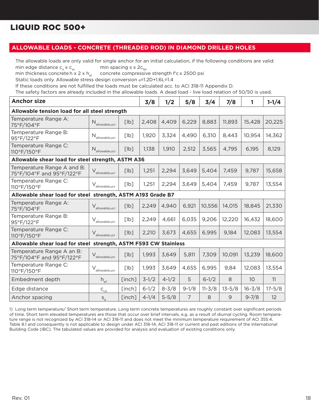#### **ALLOWABLE LOADS - CONCRETE (THREADED ROD) IN DIAMOND DRILLED HOLES**

The allowable loads are only valid for single anchor for an initial calculation, if the following conditions are valid: min edge distance  $c_a \ge c_{ac}$  min spacing s ≥ 2 $c_{Na}$ 

min thickness concrete h ≥ 2 x h<sub>ef</sub> concrete compressive strength f'c ≥ 2500 psi

Static loads only. Allowable stress design conversion α=1.2D+1.6L=1.4

If these conditions are not fulfilled the loads must be calculated acc. to ACI 318-11 Appendix D.

The safety factors are already included in the allowable loads. A dead load - live load relation of 50/50 is used.

| <b>Anchor size</b>                                      |                                                             |        | 3/8       | 1/2       | 5/8            | 3/4        | 7/8        | 1               | $1 - 1/4$  |  |  |
|---------------------------------------------------------|-------------------------------------------------------------|--------|-----------|-----------|----------------|------------|------------|-----------------|------------|--|--|
| Allowable tension load for all steel strength           |                                                             |        |           |           |                |            |            |                 |            |  |  |
| Temperature Range A:<br>75°F/104°F                      | $N_{\text{allowable,ucr}}$                                  | [lb]   | 2,408     | 4,409     | 6,229          | 8,883      | 11,893     | 15,428          | 20,225     |  |  |
| Temperature Range B:<br>95°F/122°F                      | $\rm N_{\rm allowable,ucr}$                                 | [lb]   | 1,920     | 3,324     | 4,490          | 6,310      | 8,443      | 10,954          | 14,362     |  |  |
| Temperature Range C:<br>110°F/150°F                     | $N_{\text{allowable,ucr}}$                                  | [lb]   | 1,138     | 1,910     | 2,512          | 3,565      | 4,795      | 6,195           | 8,129      |  |  |
|                                                         | Allowable shear load for steel strength, ASTM A36           |        |           |           |                |            |            |                 |            |  |  |
| Temperature Range A and B:<br>75°F/104°F and 95°F/122°F | $V_{\text{allowable},\text{ucr}}$                           | [lb]   | 1,251     | 2,294     | 3,649          | 5,404      | 7,459      | 9,787           | 15,658     |  |  |
| Temperature Range C:<br>110°F/150°F                     | $V_{\text{allowable,ucr}}$                                  | [lb]   | 1,251     | 2,294     | 3,649          | 5,404      | 7,459      | 9,787           | 13,554     |  |  |
|                                                         | Allowable shear load for steel strength, ASTM A193 Grade B7 |        |           |           |                |            |            |                 |            |  |  |
| Temperature Range A:<br>75°F/104°F                      | $\rm V_{\rm allowable,ucr}$                                 | [lb]   | 2,249     | 4,940     | 6,921          | 10,556     | 14,015     | 18,845          | 21,330     |  |  |
| Temperature Range B:<br>95°F/122°F                      | $\mathsf{V}_{\text{allowable},\text{ucr}}$                  | [lb]   | 2,249     | 4,661     | 6,035          | 9,206      | 12,220     | 16,432          | 18,600     |  |  |
| Temperature Range C:<br>110°F/150°F                     | $V_{\text{allowable,ucr}}$                                  | [lb]   | 2,210     | 3,673     | 4,655          | 6,995      | 9,184      | 12,083          | 13,554     |  |  |
| Allowable shear load for steel                          | strength, ASTM F593 CW Stainless                            |        |           |           |                |            |            |                 |            |  |  |
| Temperature Range A an B:<br>75°F/104°F and 95°F/122°F  | $V_{\text{allowable,ucr}}$                                  | [lb]   | 1,993     | 3,649     | 5,811          | 7,309      | 10,091     | 13,239          | 18,600     |  |  |
| Temperature Range C:<br>110°F/150°F                     | $V_{\text{allowable,ucr}}$                                  | [lb]   | 1,993     | 3,649     | 4,655          | 6,995      | 9,84       | 12,083          | 13,554     |  |  |
| Embedment depth                                         | $h_{\text{ef}}$                                             | [inch] | $3-1/2$   | $4 - 1/2$ | 5              | $6 - 1/2$  | 8          | 10 <sup>°</sup> | 11         |  |  |
| Edge distance                                           | $\mathsf{C}_{\mathsf{ca}}$                                  | [inch] | $6 - 1/2$ | $8 - 3/8$ | $9-1/8$        | $11 - 3/8$ | $13 - 5/8$ | $16 - 3/8$      | $17 - 5/8$ |  |  |
| Anchor spacing                                          | $S_a$                                                       | [inch] | $4 - 1/4$ | $5 - 5/8$ | $\overline{7}$ | 8          | 9          | $9 - 7/8$       | 12         |  |  |

1) Long term temperature/ Short term temperature. Long term concrete temperatures are roughly constant over significant periods of time. Short term elevated temperatures are those that occur over brief intervals, e.g. as a result of diurnal cycling. Room temperature range is not recognized by ACI 318-14 or ACI 318-11 and does not meet the minimum temperature requirement of ACI 355.4, Table 8.1 and consequently is not applicable to design under ACI 318-14, ACI 318-11 or current and past editions of the International Building Code (IBC). The tabulated values are provided for analysis and evaluation of existing conditions only.